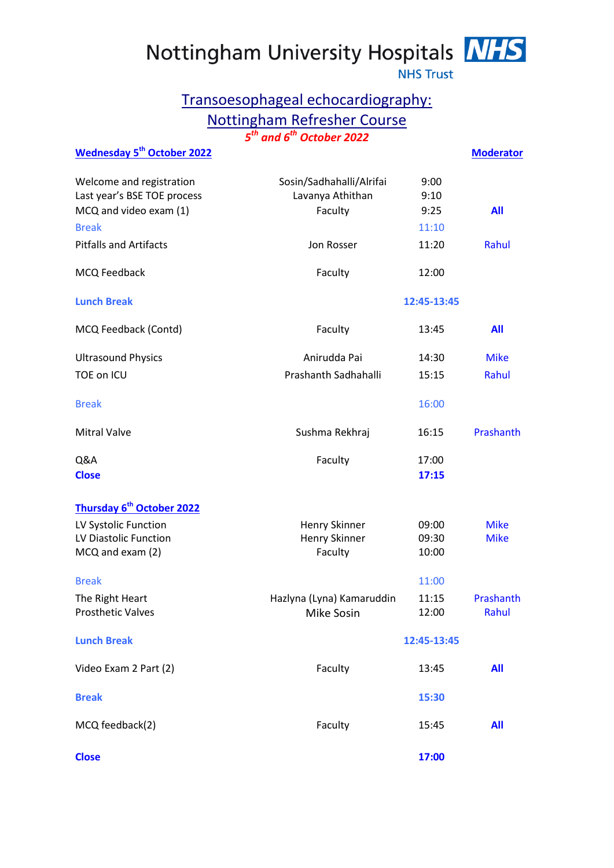Nottingham University Hospitals NHS



**NHS Trust** 

## Transoesophageal echocardiography: Nottingham Refresher Course *5 th and 6 th October 2022*

| <b>Wednesday 5<sup>th</sup> October 2022</b>                                      |                                                         |                      | <b>Moderator</b> |
|-----------------------------------------------------------------------------------|---------------------------------------------------------|----------------------|------------------|
| Welcome and registration<br>Last year's BSE TOE process<br>MCQ and video exam (1) | Sosin/Sadhahalli/Alrifai<br>Lavanya Athithan<br>Faculty | 9:00<br>9:10<br>9:25 | All              |
| <b>Break</b>                                                                      |                                                         | 11:10                |                  |
| <b>Pitfalls and Artifacts</b>                                                     | Jon Rosser                                              | 11:20                | Rahul            |
| MCQ Feedback                                                                      | Faculty                                                 | 12:00                |                  |
| <b>Lunch Break</b>                                                                |                                                         | 12:45-13:45          |                  |
| MCQ Feedback (Contd)                                                              | Faculty                                                 | 13:45                | All              |
| <b>Ultrasound Physics</b>                                                         | Anirudda Pai                                            | 14:30                | <b>Mike</b>      |
| <b>TOE on ICU</b>                                                                 | Prashanth Sadhahalli                                    | 15:15                | Rahul            |
| <b>Break</b>                                                                      |                                                         | 16:00                |                  |
| <b>Mitral Valve</b>                                                               | Sushma Rekhraj                                          | 16:15                | Prashanth        |
| Q&A                                                                               | Faculty                                                 | 17:00                |                  |
| <b>Close</b>                                                                      |                                                         | 17:15                |                  |
| Thursday 6 <sup>th</sup> October 2022                                             |                                                         |                      |                  |
| LV Systolic Function                                                              | Henry Skinner                                           | 09:00                | <b>Mike</b>      |
| LV Diastolic Function                                                             | Henry Skinner                                           | 09:30                | <b>Mike</b>      |
| MCQ and exam (2)                                                                  | Faculty                                                 | 10:00                |                  |
| <b>Break</b>                                                                      |                                                         | 11:00                |                  |
| The Right Heart                                                                   | Hazlyna (Lyna) Kamaruddin                               | 11:15                | Prashanth        |
| <b>Prosthetic Valves</b>                                                          | Mike Sosin                                              | 12:00                | Rahul            |
| <b>Lunch Break</b>                                                                |                                                         | 12:45-13:45          |                  |
| Video Exam 2 Part (2)                                                             | Faculty                                                 | 13:45                | All              |
| <b>Break</b>                                                                      |                                                         | 15:30                |                  |
| MCQ feedback(2)                                                                   | Faculty                                                 | 15:45                | All              |
| <b>Close</b>                                                                      |                                                         | 17:00                |                  |